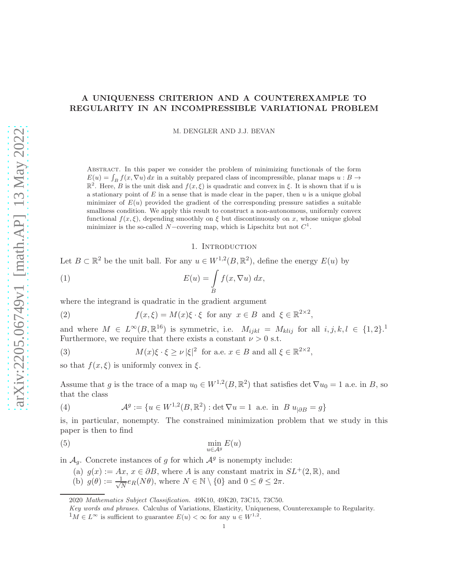# A UNIQUENESS CRITERION AND A COUNTEREXAMPLE TO REGULARITY IN AN INCOMPRESSIBLE VARIATIONAL PROBLEM

M. DENGLER AND J.J. BEVAN

Abstract. In this paper we consider the problem of minimizing functionals of the form  $E(u) = \int_B f(x, \nabla u) dx$  in a suitably prepared class of incompressible, planar maps  $u : B \to$  $\mathbb{R}^2$ . Here, B is the unit disk and  $f(x,\xi)$  is quadratic and convex in  $\xi$ . It is shown that if u is a stationary point of  $E$  in a sense that is made clear in the paper, then  $u$  is a unique global minimizer of  $E(u)$  provided the gradient of the corresponding pressure satisfies a suitable smallness condition. We apply this result to construct a non-autonomous, uniformly convex functional  $f(x, \xi)$ , depending smoothly on  $\xi$  but discontinuously on x, whose unique global minimizer is the so-called N-covering map, which is Lipschitz but not  $C^1$ .

### 1. INTRODUCTION

Let  $B \subset \mathbb{R}^2$  be the unit ball. For any  $u \in W^{1,2}(B,\mathbb{R}^2)$ , define the energy  $E(u)$  by

(1) 
$$
E(u) = \int\limits_B f(x, \nabla u) dx,
$$

where the integrand is quadratic in the gradient argument

(2) 
$$
f(x,\xi) = M(x)\xi \cdot \xi \text{ for any } x \in B \text{ and } \xi \in \mathbb{R}^{2 \times 2},
$$

and where  $M \in L^{\infty}(B, \mathbb{R}^{16})$  is symmetric, i.e.  $M_{ijkl} = M_{klij}$  for all  $i, j, k, l \in \{1, 2\}$ . Furthermore, we require that there exists a constant  $\nu > 0$  s.t.

(3) 
$$
M(x)\xi \cdot \xi \ge \nu |\xi|^2 \text{ for a.e. } x \in B \text{ and all } \xi \in \mathbb{R}^{2 \times 2},
$$

so that  $f(x,\xi)$  is uniformly convex in  $\xi$ .

Assume that g is the trace of a map  $u_0 \in W^{1,2}(B,\mathbb{R}^2)$  that satisfies det  $\nabla u_0 = 1$  a.e. in B, so that the class

(4) 
$$
\mathcal{A}^g := \{ u \in W^{1,2}(B, \mathbb{R}^2) : \det \nabla u = 1 \text{ a.e. in } B u_{|\partial B} = g \}
$$

is, in particular, nonempty. The constrained minimization problem that we study in this paper is then to find

$$
\min_{u \in \mathcal{A}^g} E(u)
$$

in  $A_g$ . Concrete instances of g for which  $A^g$  is nonempty include:

(a) 
$$
g(x) := Ax, x \in \partial B
$$
, where A is any constant matrix in  $SL^+(2, \mathbb{R})$ , and

(b)  $g(\theta) := \frac{1}{\sqrt{2}}$  $\frac{1}{N}e_R(N\theta)$ , where  $N \in \mathbb{N} \setminus \{0\}$  and  $0 \le \theta \le 2\pi$ .

<sup>2020</sup> Mathematics Subject Classification. 49K10, 49K20, 73C15, 73C50.

Key words and phrases. Calculus of Variations, Elasticity, Uniqueness, Counterexample to Regularity.

<sup>&</sup>lt;sup>1</sup> $M \in L^\infty$  is sufficient to guarantee  $E(u) < \infty$  for any  $u \in W^{1,2}$ .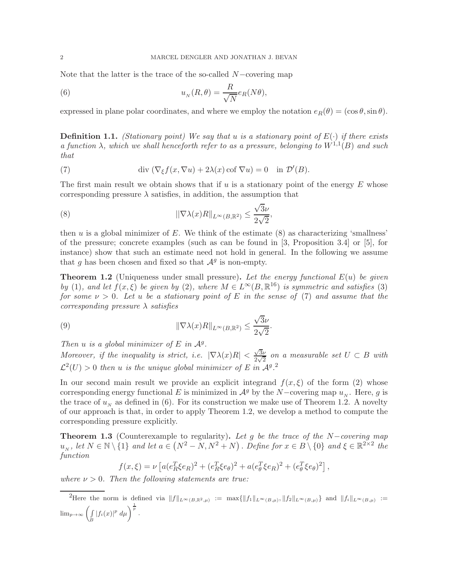Note that the latter is the trace of the so-called  $N$ −covering map

(6) 
$$
u_N(R,\theta) = \frac{R}{\sqrt{N}} e_R(N\theta),
$$

expressed in plane polar coordinates, and where we employ the notation  $e_R(\theta) = (\cos \theta, \sin \theta)$ .

Definition 1.1. *(Stationary point) We say that* u *is a stationary point of* E(·) *if there exists a function*  $\lambda$ , which we shall henceforth refer to as a pressure, belonging to  $W^{1,1}(B)$  and such *that*

(7) 
$$
\operatorname{div} (\nabla_{\xi} f(x, \nabla u) + 2\lambda(x) \operatorname{cof} \nabla u) = 0 \quad \text{in } \mathcal{D}'(B).
$$

The first main result we obtain shows that if  $u$  is a stationary point of the energy  $E$  whose corresponding pressure  $\lambda$  satisfies, in addition, the assumption that

(8) 
$$
\|\nabla \lambda(x)R\|_{L^{\infty}(B,\mathbb{R}^2)} \leq \frac{\sqrt{3}\nu}{2\sqrt{2}},
$$

then  $u$  is a global minimizer of  $E$ . We think of the estimate  $(8)$  as characterizing 'smallness' of the pressure; concrete examples (such as can be found in [3, Proposition 3.4] or [5], for instance) show that such an estimate need not hold in general. In the following we assume that g has been chosen and fixed so that  $\mathcal{A}^g$  is non-empty.

Theorem 1.2 (Uniqueness under small pressure). *Let the energy functional* E(u) *be given by* (1)*,* and let  $f(x,\xi)$  *be given by* (2)*,* where  $M \in L^{\infty}(B,\mathbb{R}^{16})$  *is symmetric and satisfies* (3) *for some*  $\nu > 0$ *. Let u be a stationary point of E in the sense of (7) and assume that the corresponding pressure* λ *satisfies*

(9) 
$$
\|\nabla \lambda(x)R\|_{L^{\infty}(B,\mathbb{R}^2)} \leq \frac{\sqrt{3}\nu}{2\sqrt{2}}.
$$

*Then*  $u$  *is a global minimizer of*  $E$  *in*  $A<sup>g</sup>$ *.* 

*Moreover, if the inequality is strict, i.e.*  $|\nabla \lambda(x)R| < \frac{\sqrt{3}\nu}{2\sqrt{2}}$  $\frac{\sqrt{3}\nu}{2\sqrt{2}}$  on a measurable set  $U \subset B$  with  $\mathcal{L}^2(U) > 0$  then u is the unique global minimizer of E in  $\mathcal{A}^g$ .<sup>2</sup>

In our second main result we provide an explicit integrand  $f(x,\xi)$  of the form (2) whose corresponding energy functional E is minimized in  $\mathcal{A}^g$  by the N-covering map  $u_N$ . Here, g is the trace of  $u_N$  as defined in (6). For its construction we make use of Theorem 1.2. A novelty of our approach is that, in order to apply Theorem 1.2, we develop a method to compute the corresponding pressure explicitly.

Theorem 1.3 (Counterexample to regularity). *Let* g *be the trace of the* N−*covering map*  $u_N$ , let  $N \in \mathbb{N} \setminus \{1\}$  and let  $a \in (N^2 - N, N^2 + N)$ . Define for  $x \in B \setminus \{0\}$  and  $\xi \in \mathbb{R}^{2 \times 2}$  the *function*

$$
f(x,\xi) = \nu \left[ a(e_R^T \xi e_R)^2 + (e_R^T \xi e_\theta)^2 + a(e_\theta^T \xi e_R)^2 + (e_\theta^T \xi e_\theta)^2 \right],
$$

*where*  $\nu > 0$ *. Then the following statements are true:* 

There the norm is defined via  $||f||_{L^{\infty}(B,\mathbb{R}^2,\mu)} := \max{||f_1||_{L^{\infty}(B,\mu)}, ||f_2||_{L^{\infty}(B,\mu)}}\}$  and  $||f_i||_{L^{\infty}(B,\mu)} :=$  $\lim_{p\to\infty}\int$  $\int\limits_B |f_i(x)|^p \ d\mu \bigg)^{\frac{1}{p}}$ .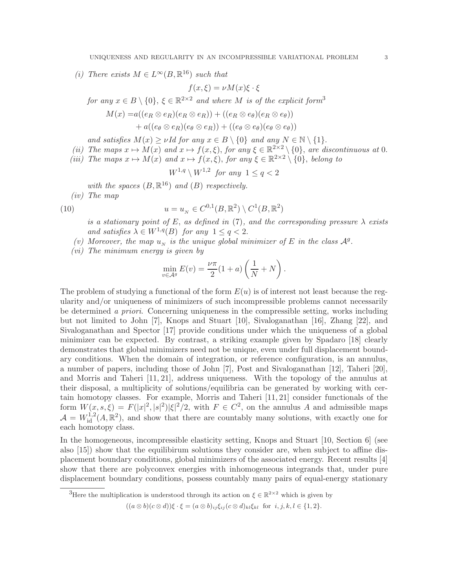(*i*) There exists  $M \in L^{\infty}(B, \mathbb{R}^{16})$  such that

$$
f(x,\xi) = \nu M(x)\xi \cdot \xi
$$

 $for any x \in B \setminus \{0\}, \xi \in \mathbb{R}^{2 \times 2}$  *and where*  $M$  *is of the explicit form*<sup>3</sup>

$$
M(x) = a((e_R \otimes e_R)(e_R \otimes e_R)) + ((e_R \otimes e_\theta)(e_R \otimes e_\theta))
$$
  
+ a((e\_\theta \otimes e\_R)(e\_\theta \otimes e\_R)) + ((e\_\theta \otimes e\_\theta)(e\_\theta \otimes e\_\theta))

*and satisfies*  $M(x) \geq \nu I d$  *for any*  $x \in B \setminus \{0\}$  *and any*  $N \in \mathbb{N} \setminus \{1\}.$ 

- (*ii*) The maps  $x \mapsto M(x)$  and  $x \mapsto f(x,\xi)$ , for any  $\xi \in \mathbb{R}^{2 \times 2} \setminus \{0\}$ , are discontinuous at 0.
- *(iii)* The maps  $x \mapsto M(x)$  and  $x \mapsto f(x,\xi)$ , for any  $\xi \in \mathbb{R}^{2 \times 2} \setminus \{0\}$ , *belong to*

$$
W^{1,q} \setminus W^{1,2} \text{ for any } 1 \le q < 2
$$

with the spaces  $(B, \mathbb{R}^{16})$  and  $(B)$  respectively.

*(iv) The map*

(10) 
$$
u = u_N \in C^{0,1}(B, \mathbb{R}^2) \setminus C^1(B, \mathbb{R}^2)
$$

*is a stationary point of*  $E$ *, as defined in* (7)*, and the corresponding pressure*  $\lambda$  *exists and satisfies*  $\lambda \in W^{1,q}(B)$  *for any*  $1 \leq q < 2$ .

- (v) Moreover, the map  $u_N$  is the unique global minimizer of E in the class  $\mathcal{A}^g$ .
- *(vi) The minimum energy is given by*

$$
\min_{v \in \mathcal{A}^g} E(v) = \frac{\nu \pi}{2} (1 + a) \left( \frac{1}{N} + N \right).
$$

The problem of studying a functional of the form  $E(u)$  is of interest not least because the regularity and/or uniqueness of minimizers of such incompressible problems cannot necessarily be determined *a priori*. Concerning uniqueness in the compressible setting, works including but not limited to John [7], Knops and Stuart [10], Sivaloganathan [16], Zhang [22], and Sivaloganathan and Spector [17] provide conditions under which the uniqueness of a global minimizer can be expected. By contrast, a striking example given by Spadaro [18] clearly demonstrates that global minimizers need not be unique, even under full displacement boundary conditions. When the domain of integration, or reference configuration, is an annulus, a number of papers, including those of John [7], Post and Sivaloganathan [12], Taheri [20], and Morris and Taheri [11, 21], address uniqueness. With the topology of the annulus at their disposal, a multiplicity of solutions/equilibria can be generated by working with certain homotopy classes. For example, Morris and Taheri [11, 21] consider functionals of the form  $W(x, s, \xi) = F(|x|^2, |s|^2) |\xi|^2/2$ , with  $F \in C^2$ , on the annulus A and admissible maps  $\mathcal{A} = W_{\rm id}^{1,2}(A,\mathbb{R}^2)$ , and show that there are countably many solutions, with exactly one for each homotopy class.

In the homogeneous, incompressible elasticity setting, Knops and Stuart [10, Section 6] (see also [15]) show that the equilibirum solutions they consider are, when subject to affine displacement boundary conditions, global minimizers of the associated energy. Recent results [4] show that there are polyconvex energies with inhomogeneous integrands that, under pure displacement boundary conditions, possess countably many pairs of equal-energy stationary

 $((a \otimes b)(c \otimes d))\xi \cdot \xi = (a \otimes b)_{ij}\xi_{ij}(c \otimes d)_{kl}\xi_{kl}$  for  $i, j, k, l \in \{1, 2\}.$ 

<sup>&</sup>lt;sup>3</sup>Here the multiplication is understood through its action on  $\xi \in \mathbb{R}^{2 \times 2}$  which is given by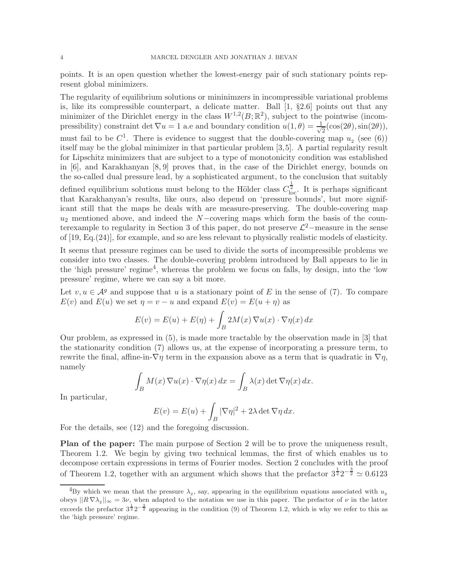points. It is an open question whether the lowest-energy pair of such stationary points represent global minimizers.

The regularity of equilibrium solutions or mininimzers in incompressible variational problems is, like its compressible counterpart, a delicate matter. Ball [1, §2.6] points out that any minimizer of the Dirichlet energy in the class  $W^{1,2}(B;\mathbb{R}^2)$ , subject to the pointwise (incompressibility) constraint det  $\nabla u = 1$  a.e and boundary condition  $u(1, \theta) = \frac{1}{\sqrt{2\pi}}$  $\frac{1}{2}$ (cos(2 $\theta$ ), sin(2 $\theta$ )), must fail to be  $C^1$ . There is evidence to suggest that the double-covering map  $u_2$  (see (6)) itself may be the global minimizer in that particular problem [3,5]. A partial regularity result for Lipschitz minimizers that are subject to a type of monotonicity condition was established in [6], and Karakhanyan [8, 9] proves that, in the case of the Dirichlet energy, bounds on the so-called dual pressure lead, by a sophisticated argument, to the conclusion that suitably defined equilibrium solutions must belong to the Hölder class  $C_{\text{loc}}^{\frac{1}{2}}$ . It is perhaps significant that Karakhanyan's results, like ours, also depend on 'pressure bounds', but more significant still that the maps he deals with are measure-preserving. The double-covering map  $u_2$  mentioned above, and indeed the N−covering maps which form the basis of the counterexample to regularity in Section 3 of this paper, do not preserve  $\mathcal{L}^2$ -measure in the sense of [19, Eq.(24)], for example, and so are less relevant to physically realistic models of elasticity.

It seems that pressure regimes can be used to divide the sorts of incompressible problems we consider into two classes. The double-covering problem introduced by Ball appears to lie in the 'high pressure' regime<sup>4</sup>, whereas the problem we focus on falls, by design, into the 'low pressure' regime, where we can say a bit more.

Let  $v, u \in \mathcal{A}^g$  and suppose that u is a stationary point of E in the sense of (7). To compare  $E(v)$  and  $E(u)$  we set  $\eta = v - u$  and expand  $E(v) = E(u + \eta)$  as

$$
E(v) = E(u) + E(\eta) + \int_B 2M(x)\,\nabla u(x) \cdot \nabla \eta(x) \, dx
$$

Our problem, as expressed in (5), is made more tractable by the observation made in [3] that the stationarity condition (7) allows us, at the expense of incorporating a pressure term, to rewrite the final, affine-in- $\nabla \eta$  term in the expansion above as a term that is quadratic in  $\nabla \eta$ , namely

$$
\int_B M(x) \nabla u(x) \cdot \nabla \eta(x) dx = \int_B \lambda(x) \det \nabla \eta(x) dx.
$$

In particular,

$$
E(v) = E(u) + \int_B |\nabla \eta|^2 + 2\lambda \det \nabla \eta \, dx.
$$

For the details, see (12) and the foregoing discussion.

Plan of the paper: The main purpose of Section 2 will be to prove the uniqueness result, Theorem 1.2. We begin by giving two technical lemmas, the first of which enables us to decompose certain expressions in terms of Fourier modes. Section 2 concludes with the proof of Theorem 1.2, together with an argument which shows that the prefactor  $3^{\frac{1}{2}}2^{-\frac{3}{2}} \approx 0.6123$ 

<sup>&</sup>lt;sup>4</sup>By which we mean that the pressure  $\lambda_2$ , say, appearing in the equilibrium equations associated with  $u_2$ obeys  $\|R\nabla\lambda_2\|_{\infty}=3\nu$ , when adapted to the notation we use in this paper. The prefactor of  $\nu$  in the latter exceeds the prefactor  $3^{\frac{1}{2}}2^{-\frac{3}{2}}$  appearing in the condition (9) of Theorem 1.2, which is why we refer to this as the 'high pressure' regime.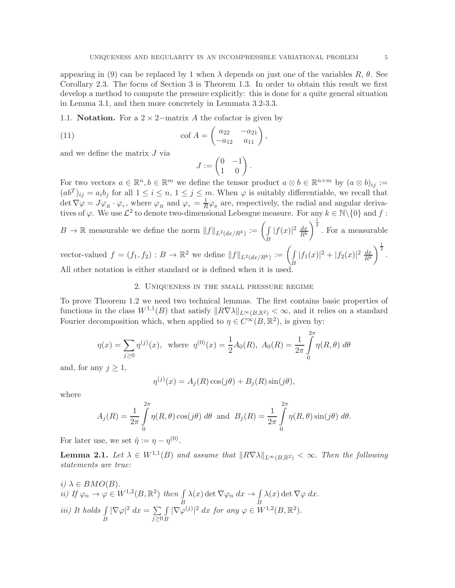appearing in (9) can be replaced by 1 when  $\lambda$  depends on just one of the variables  $R$ ,  $\theta$ . See Corollary 2.3. The focus of Section 3 is Theorem 1.3. In order to obtain this result we first develop a method to compute the pressure explicitly: this is done for a quite general situation in Lemma 3.1, and then more concretely in Lemmata 3.2-3.3.

1.1. **Notation.** For a  $2 \times 2$ –matrix A the cofactor is given by

(11) 
$$
\cot A = \begin{pmatrix} a_{22} & -a_{21} \\ -a_{12} & a_{11} \end{pmatrix},
$$

and we define the matrix J via

$$
J:=\begin{pmatrix}0&-1\\1&0\end{pmatrix}.
$$

For two vectors  $a \in \mathbb{R}^n, b \in \mathbb{R}^m$  we define the tensor product  $a \otimes b \in \mathbb{R}^{n \times m}$  by  $(a \otimes b)_{ij} :=$  $(ab^T)_{ij} = a_i b_j$  for all  $1 \leq i \leq n, 1 \leq j \leq m$ . When  $\varphi$  is suitably differentiable, we recall that det  $\nabla \varphi = J \varphi_R \cdot \varphi_\tau$ , where  $\varphi_R$  and  $\varphi_\tau = \frac{1}{R}$  $\frac{1}{R}\varphi_{\theta}$  are, respectively, the radial and angular derivatives of  $\varphi$ . We use  $\mathcal{L}^2$  to denote two-dimensional Lebesgue measure. For any  $k \in \mathbb{N} \setminus \{0\}$  and f:  $B\to\mathbb{R}$  measurable we define the norm  $\mathbb{F}^{\mathfrak{g}}$  .  $:= \left(\int\limits_{R} |f(x)|^2 \frac{dx}{R^k}\right)^{\frac{1}{2}}$ . For a measurable

$$
D \to \mathbb{R}
$$
 measurable we define the norm ||J|| $L^2(dx/R^k) := \left(\frac{J}{B} |J(x)| \frac{R^k}{R^k}\right)$ . For a measurable  
vector-valued  $f = (f_1, f_2) : B \to \mathbb{R}^2$  we define  $||f||_{L^2(dx/R^k)} := \left(\frac{J}{B} |f_1(x)|^2 + |f_2(x)|^2 \frac{dx}{R^k}\right)^{\frac{1}{2}}$ .

All other notation is either standard or is defined when it is used.

# 2. Uniqueness in the small pressure regime

To prove Theorem 1.2 we need two technical lemmas. The first contains basic properties of functions in the class  $W^{1,1}(B)$  that satisfy  $||R\nabla\lambda||_{L^\infty(B,\mathbb{R}^2)} < \infty$ , and it relies on a standard Fourier decomposition which, when applied to  $\eta \in C^{\infty}(B, \mathbb{R}^2)$ , is given by:

$$
\eta(x) = \sum_{j\geq 0} \eta^{(j)}(x), \text{ where } \eta^{(0)}(x) = \frac{1}{2}A_0(R), A_0(R) = \frac{1}{2\pi} \int_0^{2\pi} \eta(R,\theta) d\theta
$$

and, for any  $j \geq 1$ ,

$$
\eta^{(j)}(x) = A_j(R)\cos(j\theta) + B_j(R)\sin(j\theta),
$$

where

$$
A_j(R) = \frac{1}{2\pi} \int_0^{2\pi} \eta(R,\theta) \cos(j\theta) d\theta \text{ and } B_j(R) = \frac{1}{2\pi} \int_0^{2\pi} \eta(R,\theta) \sin(j\theta) d\theta.
$$

For later use, we set  $\tilde{\eta} := \eta - \eta^{(0)}$ .

**Lemma 2.1.** Let  $\lambda \in W^{1,1}(B)$  and assume that  $\|R\nabla\lambda\|_{L^{\infty}(B,\mathbb{R}^2)} < \infty$ . Then the following *statements are true:*

*i)* 
$$
\lambda \in BMO(B)
$$
.  
\n*ii)* If  $\varphi_n \to \varphi \in W^{1,2}(B, \mathbb{R}^2)$  then  $\int_{B} \lambda(x) \det \nabla \varphi_n dx \to \int_{B} \lambda(x) \det \nabla \varphi dx$ .  
\n*iii)* It holds  $\int_{B} |\nabla \varphi|^2 dx = \sum_{j \ge 0} \int_{B} |\nabla \varphi^{(j)}|^2 dx$  for any  $\varphi \in W^{1,2}(B, \mathbb{R}^2)$ .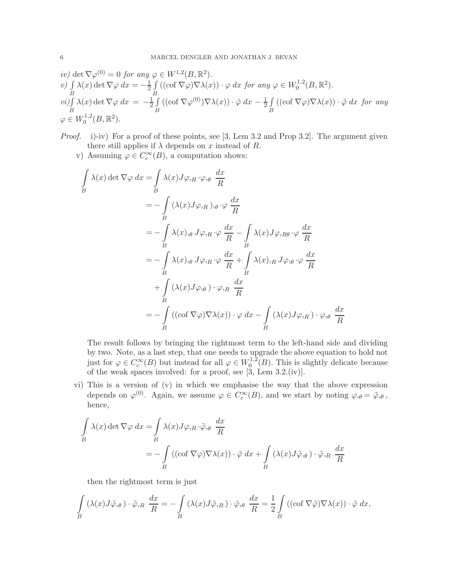iv) det 
$$
\nabla \varphi^{(0)} = 0
$$
 for any  $\varphi \in W^{1,2}(B, \mathbb{R}^2)$ .  
\nv)  $\int \lambda(x) \det \nabla \varphi \, dx = -\frac{1}{2} \int_{B} ((\cot \nabla \varphi) \nabla \lambda(x)) \cdot \varphi \, dx$  for any  $\varphi \in W_0^{1,2}(B, \mathbb{R}^2)$ .  
\nvi)  $\int_{B} \lambda(x) \det \nabla \varphi \, dx = -\frac{1}{2} \int_{B} ((\cot \nabla \varphi^{(0)}) \nabla \lambda(x)) \cdot \tilde{\varphi} \, dx - \frac{1}{2} \int_{B} ((\cot \nabla \varphi) \nabla \lambda(x)) \cdot \tilde{\varphi} \, dx$  for any  $\varphi \in W_0^{1,2}(B, \mathbb{R}^2)$ .

*Proof.* i)-iv) For a proof of these points, see [3, Lem 3.2 and Prop 3.2]. The argument given there still applies if  $\lambda$  depends on x instead of R.

v) Assuming  $\varphi \in C_c^{\infty}(B)$ , a computation shows:

$$
\int_{B} \lambda(x) \det \nabla \varphi \, dx = \int_{B} \lambda(x) J \varphi_{,R} \cdot \varphi_{,\theta} \frac{dx}{R}
$$
  
\n
$$
= -\int_{B} (\lambda(x) J \varphi_{,R})_{,\theta} \cdot \varphi \frac{dx}{R}
$$
  
\n
$$
= -\int_{B} \lambda(x)_{,\theta} J \varphi_{,R} \cdot \varphi \frac{dx}{R} - \int_{B} \lambda(x) J \varphi_{,R\theta} \cdot \varphi \frac{dx}{R}
$$
  
\n
$$
= -\int_{B} \lambda(x)_{,\theta} J \varphi_{,R} \cdot \varphi \frac{dx}{R} + \int_{B} \lambda(x)_{,R} J \varphi_{,\theta} \cdot \varphi \frac{dx}{R}
$$
  
\n
$$
+ \int_{B} (\lambda(x) J \varphi_{,\theta}) \cdot \varphi_{,R} \frac{dx}{R}
$$
  
\n
$$
= -\int_{B} ((\cot \nabla \varphi) \nabla \lambda(x)) \cdot \varphi \, dx - \int_{B} (\lambda(x) J \varphi_{,R}) \cdot \varphi_{,\theta} \frac{dx}{R}
$$

The result follows by bringing the rightmost term to the left-hand side and dividing by two. Note, as a last step, that one needs to upgrade the above equation to hold not just for  $\varphi \in C_c^{\infty}(B)$  but instead for all  $\varphi \in W_0^{1,2}$  $0^{1,2}(B)$ . This is slightly delicate because of the weak spaces involved: for a proof, see [3, Lem 3.2.(iv)].

vi) This is a version of (v) in which we emphasise the way that the above expression depends on  $\varphi^{(0)}$ . Again, we assume  $\varphi \in C_c^{\infty}(B)$ , and we start by noting  $\varphi_{,\theta} = \tilde{\varphi}_{,\theta}$ , hence,

$$
\int_{B} \lambda(x) \det \nabla \varphi \, dx = \int_{B} \lambda(x) J \varphi_{,R} \cdot \tilde{\varphi}_{, \theta} \frac{dx}{R}
$$
\n
$$
= - \int_{B} \left( (\operatorname{cof} \nabla \varphi) \nabla \lambda(x) \right) \cdot \tilde{\varphi} \, dx + \int_{B} \left( \lambda(x) J \tilde{\varphi}_{, \theta} \right) \cdot \tilde{\varphi}_{,R} \frac{dx}{R}
$$

then the rightmost term is just

$$
\int_{B} (\lambda(x)J\tilde{\varphi}_{,\theta}) \cdot \tilde{\varphi}_{,R} \frac{dx}{R} = -\int_{B} (\lambda(x)J\tilde{\varphi}_{,R}) \cdot \tilde{\varphi}_{,\theta} \frac{dx}{R} = \frac{1}{2} \int_{B} ((\operatorname{cof} \nabla \tilde{\varphi}) \nabla \lambda(x)) \cdot \tilde{\varphi} dx,
$$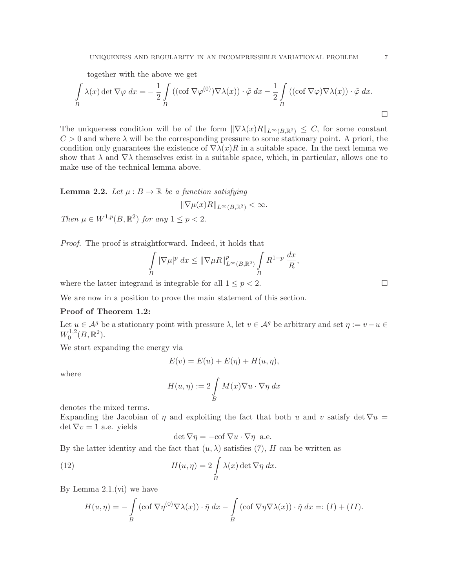together with the above we get

$$
\int_{B} \lambda(x) \det \nabla \varphi \, dx = -\frac{1}{2} \int_{B} \left( (\cot \nabla \varphi^{(0)}) \nabla \lambda(x) \right) \cdot \tilde{\varphi} \, dx - \frac{1}{2} \int_{B} \left( (\cot \nabla \varphi) \nabla \lambda(x) \right) \cdot \tilde{\varphi} \, dx.
$$

The uniqueness condition will be of the form  $\|\nabla \lambda(x)R\|_{L^{\infty}(B,\mathbb{R}^2)} \leq C$ , for some constant  $C > 0$  and where  $\lambda$  will be the corresponding pressure to some stationary point. A priori, the condition only guarantees the existence of  $\nabla \lambda(x)R$  in a suitable space. In the next lemma we show that  $\lambda$  and  $\nabla \lambda$  themselves exist in a suitable space, which, in particular, allows one to make use of the technical lemma above.

# **Lemma 2.2.** Let  $\mu : B \to \mathbb{R}$  be a function satisfying

$$
\|\nabla \mu(x)R\|_{L^{\infty}(B,\mathbb{R}^2)} < \infty.
$$

*Then*  $\mu \in W^{1,p}(B,\mathbb{R}^2)$  *for any*  $1 \leq p < 2$ .

*Proof.* The proof is straightforward. Indeed, it holds that

$$
\int\limits_B |\nabla \mu|^p dx \le ||\nabla \mu R||_{L^{\infty}(B,\mathbb{R}^2)}^p \int\limits_B R^{1-p} \frac{dx}{R},
$$

where the latter integrand is integrable for all  $1 \leq p < 2$ .

We are now in a position to prove the main statement of this section.

# Proof of Theorem 1.2:

Let  $u \in \mathcal{A}^g$  be a stationary point with pressure  $\lambda$ , let  $v \in \mathcal{A}^g$  be arbitrary and set  $\eta := v - u \in$  $W_0^{1,2}$  $t_0^{1,2}(B,\mathbb{R}^2).$ 

We start expanding the energy via

$$
E(v) = E(u) + E(\eta) + H(u, \eta),
$$

where

$$
H(u, \eta) := 2 \int\limits_B M(x) \nabla u \cdot \nabla \eta \, dx
$$

denotes the mixed terms.

Expanding the Jacobian of  $\eta$  and exploiting the fact that both u and v satisfy det  $\nabla u =$  $\det \nabla v = 1$  a.e. yields

$$
\det \nabla \eta = -\mathrm{cof}\, \nabla u \cdot \nabla \eta \quad \text{a.e.}
$$

By the latter identity and the fact that  $(u, \lambda)$  satisfies (7), H can be written as

(12) 
$$
H(u, \eta) = 2 \int\limits_B \lambda(x) \det \nabla \eta \, dx.
$$

By Lemma  $2.1(vi)$  we have

$$
H(u, \eta) = -\int\limits_B (\operatorname{cof} \nabla \eta^{(0)} \nabla \lambda(x)) \cdot \tilde{\eta} \, dx - \int\limits_B (\operatorname{cof} \nabla \eta \nabla \lambda(x)) \cdot \tilde{\eta} \, dx =: (I) + (II).
$$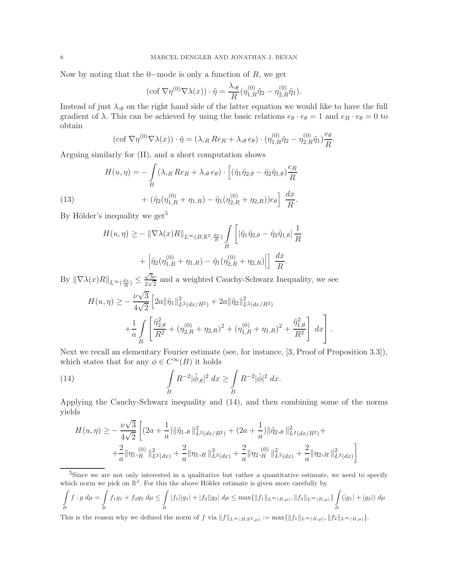Now by noting that the 0–mode is only a function of  $R$ , we get

$$
(\operatorname{cof} \nabla \eta^{(0)} \nabla \lambda(x)) \cdot \tilde{\eta} = \frac{\lambda_{,\theta}}{R} \left( \eta_{1,R}^{(0)} \tilde{\eta}_2 - \eta_{2,R}^{(0)} \tilde{\eta}_1 \right).
$$

Instead of just  $\lambda_{\theta}$  on the right hand side of the latter equation we would like to have the full gradient of  $\lambda$ . This can be achieved by using the basic relations  $e_{\theta} \cdot e_{\theta} = 1$  and  $e_R \cdot e_{\theta} = 0$  to obtain

$$
(\operatorname{cof} \nabla \eta^{(0)} \nabla \lambda(x)) \cdot \tilde{\eta} = (\lambda_{,R} \operatorname{Re}_R + \lambda_{,\theta} \operatorname{e}_{\theta}) \cdot (\eta_{1,R}^{(0)} \tilde{\eta}_2 - \eta_{2,R}^{(0)} \tilde{\eta}_1) \frac{\operatorname{e}_{\theta}}{R}.
$$

Arguing similarly for (II), and a short computation shows

(13) 
$$
H(u, \eta) = -\int_{B} (\lambda_{,R} Re_R + \lambda_{,\theta} e_{\theta}) \cdot \left[ (\tilde{\eta}_1 \tilde{\eta}_{2,\theta} - \tilde{\eta}_2 \tilde{\eta}_{1,\theta}) \frac{e_R}{R} + (\tilde{\eta}_2 (\eta_{1,R}^{(0)} + \eta_{1,R}) - \tilde{\eta}_1 (\eta_{2,R}^{(0)} + \eta_{2,R})) e_{\theta} \right] \frac{dx}{R}.
$$

By Hölder's inequality we get<sup>5</sup>

$$
H(u, \eta) \geq -\|\nabla \lambda(x)R\|_{L^{\infty}(B, \mathbb{R}^2, \frac{dx}{R})} \int\limits_{B} \left[|\tilde{\eta}_{1} \tilde{\eta}_{2, \theta} - \tilde{\eta}_{2} \tilde{\eta}_{1, \theta}| \frac{1}{R} + \left|\tilde{\eta}_{2}(\eta_{1, R}^{(0)} + \eta_{1, R}) - \tilde{\eta}_{1}(\eta_{2, R}^{(0)} + \eta_{2, R})\right|\right] \frac{dx}{R}.
$$

By  $\|\nabla \lambda(x)R\|_{L^{\infty}(\frac{dx}{R})} \leq$  $\sqrt{3}ν$  $\frac{\sqrt{3}\nu}{2\sqrt{2}}$  and a weighted Cauchy-Schwarz Inequality, we see

$$
H(u, \eta) \geq -\frac{\nu\sqrt{3}}{4\sqrt{2}} \left[ 2a \|\tilde{\eta}_1\|_{L^2(dx/R^2)}^2 + 2a \|\tilde{\eta}_2\|_{L^2(dx/R^2)}^2 + \frac{1}{a} \int\limits_B \left[ \frac{\tilde{\eta}_{2,\theta}^2}{R^2} + (\eta_{2,R}^{(0)} + \eta_{2,R})^2 + (\eta_{1,R}^{(0)} + \eta_{1,R})^2 + \frac{\tilde{\eta}_{1,\theta}^2}{R^2} \right] dx \right].
$$

Next we recall an elementary Fourier estimate (see, for instance, [3, Proof of Proposition 3.3]), which states that for any  $\phi \in C^{\infty}(B)$  it holds

(14) 
$$
\int\limits_B R^{-2} |\tilde{\phi}_{,\theta}|^2 dx \ge \int\limits_B R^{-2} |\tilde{\phi}|^2 dx.
$$

Applying the Cauchy-Schwarz inequality and (14), and then combining some of the norms yields

$$
H(u, \eta) \ge -\frac{\nu\sqrt{3}}{4\sqrt{2}} \left[ (2a + \frac{1}{a}) \|\tilde{\eta}_{1,\theta}\|_{L^{2}(dx/R^{2})}^{2} + (2a + \frac{1}{a}) \|\tilde{\eta}_{2,\theta}\|_{L^{2}(dx/R^{2})}^{2} + \right. \\
\left. + \frac{2}{a} \|\eta_{1,R}^{(0)}\|_{L^{2}(dx)}^{2} + \frac{2}{a} \|\eta_{1,R}\|_{L^{2}(dx)}^{2} + \frac{2}{a} \|\eta_{2,R}^{(0)}\|_{L^{2}(dx)}^{2} + \frac{2}{a} \|\eta_{2,R}\|_{L^{2}(dx)}^{2} \right]
$$

<sup>5</sup>Since we are not only interested in a qualitative but rather a quantitative estimate, we need to specify which norm we pick on  $\mathbb{R}^2$ . For this the above Hölder estimate is given more carefully by

$$
\int_{B} f \cdot g \, d\mu = \int_{B} f_1 g_1 + f_2 g_2 \, d\mu \le \int_{B} |f_1||g_1| + |f_2||g_2| \, d\mu \le \max\{||f_1||_{L^{\infty}(B,\mu)}, ||f_2||_{L^{\infty}(B,\mu)}\} \int_{B} (|g_1| + |g_2|) \, d\mu
$$

This is the reason why we defined the norm of f via  $||f||_{L^{\infty}(B,\mathbb{R}^2,\mu)} := \max{||f_1||_{L^{\infty}(B,\mu)}, ||f_2||_{L^{\infty}(B,\mu)}}$ .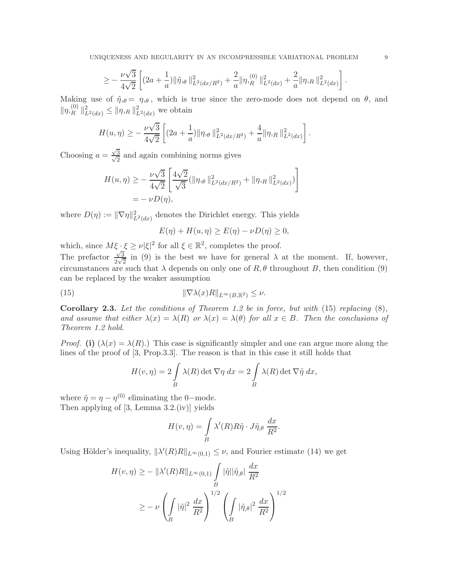$$
\geq -\,\frac{\nu\sqrt{3}}{4\sqrt{2}}\left[(2a+\frac{1}{a})\|\tilde{\eta},\theta\,\|^2_{L^2(dx/R^2)}+\frac{2}{a}\|\eta,\hspace{-0.3cm}/R_0\,|^2_{L^2(dx)}+\frac{2}{a}\|\eta,\hspace{-0.3cm}/R_0\|^2_{L^2(dx)}\right].
$$

Making use of  $\tilde{\eta}_{,\theta} = \eta_{,\theta}$ , which is true since the zero-mode does not depend on  $\theta$ , and  $\|\eta_{hR}^{(0)}\|$  $R^{(0)} \|_{L^2(dx)}^2 \leq \|\eta_{R}\|_{L^2(dx)}^2$  we obtain

$$
H(u, \eta) \geq -\frac{\nu\sqrt{3}}{4\sqrt{2}} \left[ (2a + \frac{1}{a}) \|\eta,\theta\|_{L^2(dx/R^2)}^2 + \frac{4}{a} \|\eta,\theta\|_{L^2(dx)}^2 \right].
$$

Choosing  $a = \frac{\sqrt{}}{\sqrt{2}}$  $\frac{\sqrt{3}}{\sqrt{2}}$  $\frac{3}{2}$  and again combining norms gives

$$
H(u, \eta) \geq -\frac{\nu\sqrt{3}}{4\sqrt{2}} \left[ \frac{4\sqrt{2}}{\sqrt{3}} (\|\eta,\theta\|_{L^2(dx/R^2)}^2 + \|\eta,\eta\|_{L^2(dx)}^2) \right]
$$
  
=  $-\nu D(\eta),$ 

where  $D(\eta) := \|\nabla \eta\|_{L^2(dx)}^2$  denotes the Dirichlet energy. This yields

$$
E(\eta) + H(u, \eta) \ge E(\eta) - \nu D(\eta) \ge 0,
$$

which, since  $M\xi \cdot \xi \geq \nu |\xi|^2$  for all  $\xi \in \mathbb{R}^2$ , completes the proof.

The prefactor  $\frac{\sqrt{3}}{2\sqrt{3}}$  $\frac{\sqrt{3}}{2\sqrt{2}}$  in (9) is the best we have for general  $\lambda$  at the moment. If, however, circumstances are such that  $\lambda$  depends on only one of  $R, \theta$  throughout B, then condition (9) can be replaced by the weaker assumption

(15) 
$$
\|\nabla \lambda(x)R\|_{L^{\infty}(B,\mathbb{R}^2)} \leq \nu.
$$

Corollary 2.3. *Let the conditions of Theorem 1.2 be in force, but with* (15) *replacing* (8)*, and assume that either*  $\lambda(x) = \lambda(R)$  *or*  $\lambda(x) = \lambda(\theta)$  *for all*  $x \in B$ *. Then the conclusions of Theorem 1.2 hold.*

*Proof.* (i)  $(\lambda(x) = \lambda(R))$ . This case is significantly simpler and one can argue more along the lines of the proof of [3, Prop.3.3]. The reason is that in this case it still holds that

$$
H(v, \eta) = 2 \int\limits_B \lambda(R) \det \nabla \eta \, dx = 2 \int\limits_B \lambda(R) \det \nabla \tilde{\eta} \, dx,
$$

where  $\tilde{\eta} = \eta - \eta^{(0)}$  eliminating the 0-mode. Then applying of [3, Lemma 3.2.(iv)] yields

$$
H(v, \eta) = \int_{B} \lambda'(R) R \tilde{\eta} \cdot J \tilde{\eta}_{,\theta} \frac{dx}{R^2}.
$$

Using Hölder's inequality,  $\|\lambda'(R)R\|_{L^{\infty}(0,1)} \leq \nu$ , and Fourier estimate (14) we get

$$
H(v, \eta) \ge -\|\lambda'(R)R\|_{L^{\infty}(0,1)} \int\limits_{B} |\tilde{\eta}||\tilde{\eta}_{,\theta}| \frac{dx}{R^2}
$$
  

$$
\ge -\nu \left(\int\limits_{B} |\tilde{\eta}|^2 \frac{dx}{R^2}\right)^{1/2} \left(\int\limits_{B} |\tilde{\eta}_{,\theta}|^2 \frac{dx}{R^2}\right)^{1/2}
$$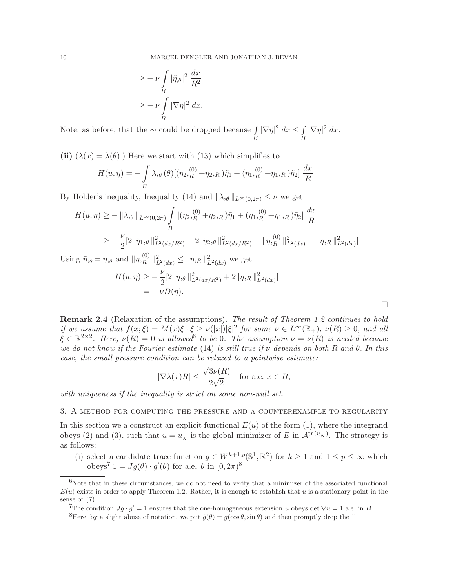$$
\geq -\nu \int\limits_B |\tilde{\eta}_{,\theta}|^2 \frac{dx}{R^2}
$$

$$
\geq -\nu \int\limits_B |\nabla \eta|^2 dx.
$$

Note, as before, that the ∼ could be dropped because  $\int\limits_B |\nabla \tilde{\eta}|^2 dx \leq \int\limits_B$  $\int\limits_B |\nabla \eta|^2 dx.$ 

(ii)  $(\lambda(x) = \lambda(\theta))$ . Here we start with (13) which simplifies to

$$
H(u, \eta) = -\int_{B} \lambda_{,\theta}(\theta) [(\eta_2]_R^{(0)} + \eta_2]_R) \tilde{\eta}_1 + (\eta_1]_R^{(0)} + \eta_1]_R) \tilde{\eta}_2] \frac{dx}{R}
$$

By Hölder's inequality, Inequality (14) and  $\|\lambda_{,\theta}\|_{L^{\infty}(0,2\pi)} \leq \nu$  we get

$$
H(u, \eta) \ge - \|\lambda_{,\theta}\|_{L^{\infty}(0,2\pi)} \int\limits_{B} |(\eta_2,_{R}^{(0)} + \eta_2,_{R})\tilde{\eta}_1 + (\eta_1,_{R}^{(0)} + \eta_1,_{R})\tilde{\eta}_2| \frac{dx}{R}
$$
  
 
$$
\ge - \frac{\nu}{2} [2\|\tilde{\eta}_1,_{\theta}\|_{L^2(dx/R^2)}^2 + 2\|\tilde{\eta}_2,_{\theta}\|_{L^2(dx/R^2)}^2 + \|\eta_{,\theta}^{(0)}\|_{L^2(dx)}^2 + \|\eta_{,\theta}\|_{L^2(dx)}^2]
$$

Using  $\tilde{\eta}_{,\theta} = \eta_{,\theta}$  and  $\|\eta_{,\mathcal{R}}^{(0)}\|$  $R^{(0)}$   $\|_{L^2(dx)}^2 \leq \|\eta, R\|_{L^2(dx)}^2$  we get

$$
H(u, \eta) \geq -\frac{\nu}{2} [2 \|\eta, \theta\|_{L^2(dx/R^2)}^2 + 2 \|\eta, R\|_{L^2(dx)}^2]
$$
  
=  $-\nu D(\eta).$ 

 $\Box$ 

Remark 2.4 (Relaxation of the assumptions). *The result of Theorem 1.2 continues to hold if we assume that*  $f(x;\xi) = M(x)\xi \cdot \xi \ge \nu(|x|)|\xi|^2$  *for some*  $\nu \in L^{\infty}(\mathbb{R}_+), \nu(R) \ge 0$ *, and all*  $\xi \in \mathbb{R}^{2 \times 2}$ . Here,  $\nu(R) = 0$  is allowed<sup>6</sup> to be 0. The assumption  $\nu = \nu(R)$  is needed because *we do not know if the Fourier estimate* (14) *is still true if* ν *depends on both* R *and* θ. *In this case, the small pressure condition can be relaxed to a pointwise estimate:*

$$
|\nabla \lambda(x)R| \le \frac{\sqrt{3}\nu(R)}{2\sqrt{2}} \quad \text{for a.e. } x \in B,
$$

*with uniqueness if the inequality is strict on some non-null set.*

#### 3. A method for computing the pressure and a counterexample to regularity

In this section we a construct an explicit functional  $E(u)$  of the form (1), where the integrand obeys (2) and (3), such that  $u = u_N$  is the global minimizer of E in  $\mathcal{A}^{\text{tr}(u_N)}$ . The strategy is as follows:

(i) select a candidate trace function  $g \in W^{k+1,p}(\mathbb{S}^1,\mathbb{R}^2)$  for  $k \geq 1$  and  $1 \leq p \leq \infty$  which obeys<sup>7</sup>  $1 = Jg(\theta) \cdot g'(\theta)$  for a.e.  $\theta$  in  $[0, 2\pi)^8$ 

 $6$ Note that in these circumstances, we do not need to verify that a minimizer of the associated functional  $E(u)$  exists in order to apply Theorem 1.2. Rather, it is enough to establish that u is a stationary point in the sense of (7).

<sup>&</sup>lt;sup>7</sup>The condition  $Jg \cdot g' = 1$  ensures that the one-homogeneous extension u obeys det  $\nabla u = 1$  a.e. in B

<sup>&</sup>lt;sup>8</sup>Here, by a slight abuse of notation, we put  $\tilde{q}(\theta) = q(\cos \theta, \sin \theta)$  and then promptly drop the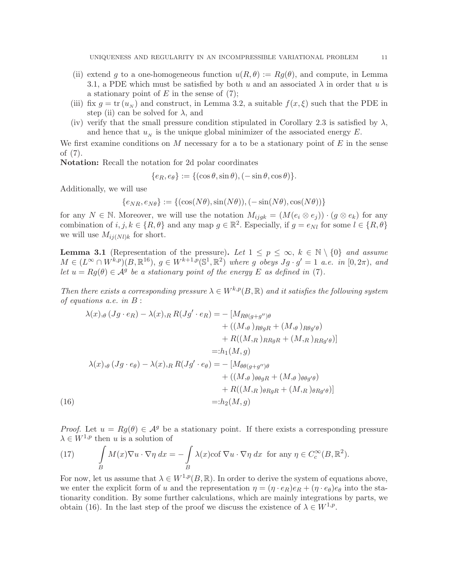- (ii) extend g to a one-homogeneous function  $u(R, \theta) := Rg(\theta)$ , and compute, in Lemma 3.1, a PDE which must be satisfied by both u and an associated  $\lambda$  in order that u is a stationary point of  $E$  in the sense of  $(7)$ ;
- (iii) fix  $g = \text{tr}(u_N)$  and construct, in Lemma 3.2, a suitable  $f(x,\xi)$  such that the PDE in step (ii) can be solved for  $\lambda$ , and
- (iv) verify that the small pressure condition stipulated in Corollary 2.3 is satisfied by  $\lambda$ , and hence that  $u_N$  is the unique global minimizer of the associated energy E.

We first examine conditions on M necessary for a to be a stationary point of  $E$  in the sense of (7).

Notation: Recall the notation for 2d polar coordinates

$$
\{e_R, e_{\theta}\} := \{(\cos \theta, \sin \theta), (-\sin \theta, \cos \theta)\}.
$$

Additionally, we will use

$$
\{e_{NR}, e_{N\theta}\} := \{(\cos(N\theta), \sin(N\theta)), (-\sin(N\theta), \cos(N\theta))\}
$$

for any  $N \in \mathbb{N}$ . Moreover, we will use the notation  $M_{ijgk} = (M(e_i \otimes e_j)) \cdot (g \otimes e_k)$  for any combination of  $i, j, k \in \{R, \theta\}$  and any map  $g \in \mathbb{R}^2$ . Especially, if  $g = e_{Nl}$  for some  $l \in \{R, \theta\}$ we will use  $M_{ij(Nl)k}$  for short.

**Lemma 3.1** (Representation of the pressure). Let  $1 \leq p \leq \infty$ ,  $k \in \mathbb{N} \setminus \{0\}$  and assume  $M \in (L^{\infty} \cap W^{k,p})(B,\mathbb{R}^{16}), g \in W^{k+1,p}(\mathbb{S}^1,\mathbb{R}^2)$  where g obeys  $Jg \cdot g' = 1$  *a.e.* in  $[0,2\pi)$ , and *let*  $u = Rg(\theta) \in \mathcal{A}^g$  *be a stationary point of the energy* E *as defined in* (7)*.* 

*Then there exists a corresponding pressure*  $\lambda \in W^{k,p}(B,\mathbb{R})$  *and it satisfies the following system of equations a.e. in* B :

$$
\lambda(x),_{\theta} (Jg \cdot e_R) - \lambda(x),_{R} R(Jg' \cdot e_R) = - [M_{R\theta(g+g'')\theta}
$$
  
+  $((M,_{\theta})_{R\theta gR} + (M,_{\theta})_{R\theta g'\theta})$   
+  $R((M,_{R})_{RRgR} + (M,_{R})_{RRg'\theta})]$   
=:  $h_1(M, g)$   

$$
\lambda(x),_{\theta} (Jg \cdot e_{\theta}) - \lambda(x),_{R} R(Jg' \cdot e_{\theta}) = - [M_{\theta\theta(g+g'')\theta}
$$
  
+  $((M,_{\theta})_{\theta\theta gR} + (M,_{\theta})_{\theta\theta g'\theta})$   
+  $R((M,_{R})_{\theta RgR} + (M,_{R})_{\theta Rg'\theta})]$   
=:  $h_2(M, g)$ 

*Proof.* Let  $u = Rg(\theta) \in \mathcal{A}^g$  be a stationary point. If there exists a corresponding pressure  $\lambda \in W^{1,p}$  then u is a solution of

(17) 
$$
\int\limits_B M(x)\nabla u \cdot \nabla \eta \, dx = -\int\limits_B \lambda(x) \text{cof } \nabla u \cdot \nabla \eta \, dx \text{ for any } \eta \in C_c^{\infty}(B, \mathbb{R}^2).
$$

For now, let us assume that  $\lambda \in W^{1,p}(B,\mathbb{R})$ . In order to derive the system of equations above, we enter the explicit form of u and the representation  $\eta = (\eta \cdot e_R)e_R + (\eta \cdot e_\theta)e_\theta$  into the stationarity condition. By some further calculations, which are mainly integrations by parts, we obtain (16). In the last step of the proof we discuss the existence of  $\lambda \in W^{1,p}$ .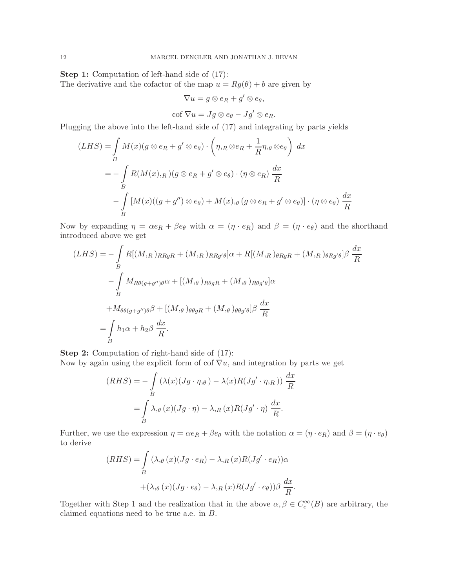Step 1: Computation of left-hand side of (17): The derivative and the cofactor of the map  $u = Rg(\theta) + b$  are given by

$$
\nabla u = g \otimes e_R + g' \otimes e_{\theta},
$$

$$
\operatorname{cof} \nabla u = Jg \otimes e_{\theta} - Jg' \otimes e_R.
$$

Plugging the above into the left-hand side of (17) and integrating by parts yields

$$
(LHS) = \int_{B} M(x)(g \otimes e_R + g' \otimes e_{\theta}) \cdot \left(\eta, R \otimes e_R + \frac{1}{R}\eta, \theta \otimes e_{\theta}\right) dx
$$
  
= 
$$
- \int_{B} R(M(x), R)(g \otimes e_R + g' \otimes e_{\theta}) \cdot (\eta \otimes e_R) \frac{dx}{R}
$$
  

$$
- \int_{B} [M(x)((g + g'') \otimes e_{\theta}) + M(x), \theta (g \otimes e_R + g' \otimes e_{\theta})] \cdot (\eta \otimes e_{\theta}) \frac{dx}{R}
$$

Now by expanding  $\eta = \alpha e_R + \beta e_\theta$  with  $\alpha = (\eta \cdot e_R)$  and  $\beta = (\eta \cdot e_\theta)$  and the shorthand introduced above we get

$$
(LHS) = -\int_{B} R[(M, R)_{RRgR} + (M, R)_{RRg'\theta}]\alpha + R[(M, R)_{\theta RgR} + (M, R)_{\theta Rg'\theta}]\beta \frac{dx}{R}
$$

$$
-\int_{B} M_{R\theta(g+g'')\theta}\alpha + [(M, \theta)_{R\theta gR} + (M, \theta)_{R\theta g'\theta}]\alpha
$$

$$
+ M_{\theta\theta(g+g'')\theta}\beta + [(M, \theta)_{\theta\theta gR} + (M, \theta)_{\theta\theta g'\theta}]\beta \frac{dx}{R}
$$

$$
= \int_{B} h_1\alpha + h_2\beta \frac{dx}{R}.
$$

Step 2: Computation of right-hand side of (17):

Now by again using the explicit form of cof  $\nabla u$ , and integration by parts we get

$$
(RHS) = -\int_{B} (\lambda(x)(Jg \cdot \eta, \theta) - \lambda(x)R(Jg' \cdot \eta, R)) \frac{dx}{R}
$$

$$
= \int_{B} \lambda_{,\theta}(x)(Jg \cdot \eta) - \lambda_{,\theta}(x)R(Jg' \cdot \eta) \frac{dx}{R}.
$$

Further, we use the expression  $\eta = \alpha e_R + \beta e_\theta$  with the notation  $\alpha = (\eta \cdot e_R)$  and  $\beta = (\eta \cdot e_\theta)$ to derive

$$
(RHS) = \int_{B} (\lambda_{,\theta}(x)(Jg \cdot e_R) - \lambda_{,R}(x)R(Jg' \cdot e_R))\alpha
$$

$$
+ (\lambda_{,\theta}(x)(Jg \cdot e_{\theta}) - \lambda_{,R}(x)R(Jg' \cdot e_{\theta}))\beta \frac{dx}{R}.
$$

Together with Step 1 and the realization that in the above  $\alpha, \beta \in C_c^{\infty}(B)$  are arbitrary, the claimed equations need to be true a.e. in B.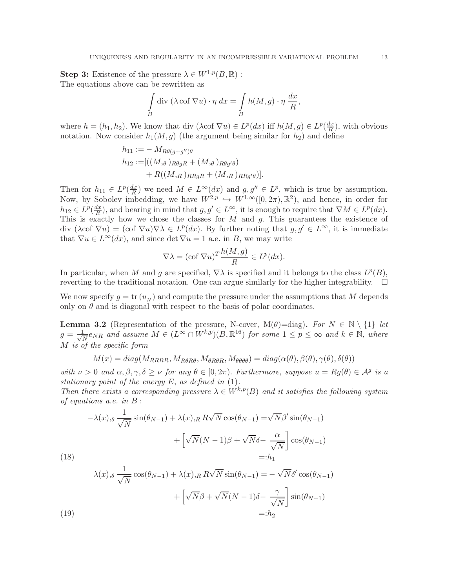**Step 3:** Existence of the pressure  $\lambda \in W^{1,p}(B,\mathbb{R})$ : The equations above can be rewritten as

$$
\int\limits_B \text{div } (\lambda \cot \nabla u) \cdot \eta \, dx = \int\limits_B h(M, g) \cdot \eta \, \frac{dx}{R},
$$

where  $h = (h_1, h_2)$ . We know that div  $(\lambda \text{cof } \nabla u) \in L^p(dx)$  iff  $h(M, g) \in L^p(\frac{dx}{R})$  $\frac{dx}{R}$ ), with obvious notation. Now consider  $h_1(M, g)$  (the argument being similar for  $h_2$ ) and define

$$
h_{11} := - M_{R\theta(g+g'')\theta}
$$
  
\n
$$
h_{12} := [((M, \theta)_{R\theta gR} + (M, \theta)_{R\theta g'\theta}) + R((M, \theta)_{RRgR} + (M, \theta)_{RRg'\theta}].
$$

Then for  $h_{11} \in L^p(\frac{dx}{R})$  $\frac{dx}{R}$ ) we need  $M \in L^{\infty}(dx)$  and  $g, g'' \in L^p$ , which is true by assumption. Now, by Sobolev imbedding, we have  $W^{2,p} \hookrightarrow W^{1,\infty}([0,2\pi),\mathbb{R}^2)$ , and hence, in order for  $h_{12} \in L^p(\frac{dx}{R})$  $\frac{dx}{R}$ ), and bearing in mind that  $g, g' \in L^{\infty}$ , it is enough to require that  $\nabla M \in L^p(dx)$ . This is exactly how we chose the classes for  $M$  and  $g$ . This guarantees the existence of div  $(\lambda \text{cof } \nabla u) = (\text{cof } \nabla u) \nabla \lambda \in L^p(dx)$ . By further noting that  $g, g' \in L^{\infty}$ , it is immediate that  $\nabla u \in L^{\infty}(dx)$ , and since det  $\nabla u = 1$  a.e. in B, we may write

$$
\nabla \lambda = (\operatorname{cof} \nabla u)^T \frac{h(M, g)}{R} \in L^p(dx).
$$

In particular, when M and g are specified,  $\nabla \lambda$  is specified and it belongs to the class  $L^p(B)$ , reverting to the traditional notation. One can argue similarly for the higher integrability.  $\square$ 

We now specify  $g = \text{tr}(u_N)$  and compute the pressure under the assumptions that M depends only on  $\theta$  and is diagonal with respect to the basis of polar coordinates.

**Lemma 3.2** (Representation of the pressure, N-cover, M( $\theta$ )=diag). For  $N \in \mathbb{N} \setminus \{1\}$  let  $g=\frac{1}{\sqrt{2}}$  $\frac{1}{N}e_{NR}$  and assume  $M \in (L^{\infty} \cap W^{k,p})(B,\mathbb{R}^{16})$  for some  $1 \leq p \leq \infty$  and  $k \in \mathbb{N}$ , where M *is of the specific form*

$$
M(x) = diag(M_{RRRR}, M_{R\theta R\theta}, M_{\theta R\theta R}, M_{\theta \theta \theta \theta}) = diag(\alpha(\theta), \beta(\theta), \gamma(\theta), \delta(\theta))
$$

*with*  $\nu > 0$  *and*  $\alpha, \beta, \gamma, \delta \ge \nu$  *for any*  $\theta \in [0, 2\pi)$ . *Furthermore, suppose*  $u = Rg(\theta) \in \mathcal{A}^g$  *is a stationary point of the energy* E, *as defined in* (1)*.*

*Then there exists a corresponding pressure*  $\lambda \in W^{k,p}(B)$  *and it satisfies the following system of equations a.e. in* B :

(18) 
$$
-\lambda(x),_{\theta} \frac{1}{\sqrt{N}} \sin(\theta_{N-1}) + \lambda(x),_{R} R\sqrt{N} \cos(\theta_{N-1}) = \sqrt{N}\beta' \sin(\theta_{N-1}) + \left[\sqrt{N}(N-1)\beta + \sqrt{N}\delta - \frac{\alpha}{\sqrt{N}}\right] \cos(\theta_{N-1})
$$

$$
=:h_{1}
$$

(19)  
\n
$$
\lambda(x),_{\theta} \frac{1}{\sqrt{N}} \cos(\theta_{N-1}) + \lambda(x),_{R} R\sqrt{N} \sin(\theta_{N-1}) = -\sqrt{N} \delta' \cos(\theta_{N-1}) + \left[\sqrt{N}\beta + \sqrt{N}(N-1)\delta - \frac{\gamma}{\sqrt{N}}\right] \sin(\theta_{N-1})
$$
\n
$$
=:h_{2}
$$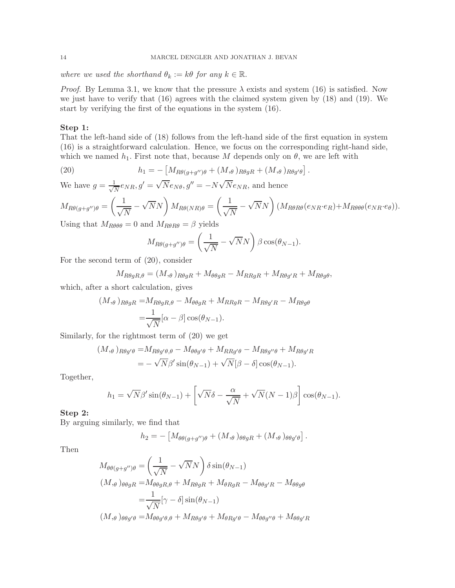*where we used the shorthand*  $\theta_k := k\theta$  *for any*  $k \in \mathbb{R}$ .

*Proof.* By Lemma 3.1, we know that the pressure  $\lambda$  exists and system (16) is satisfied. Now we just have to verify that (16) agrees with the claimed system given by (18) and (19). We start by verifying the first of the equations in the system (16).

### Step 1:

That the left-hand side of (18) follows from the left-hand side of the first equation in system (16) is a straightforward calculation. Hence, we focus on the corresponding right-hand side, which we named  $h_1$ . First note that, because M depends only on  $\theta$ , we are left with

(20) 
$$
h_1 = -\left[M_{R\theta(g+g'')\theta} + (M_{,\theta})_{R\theta gR} + (M_{,\theta})_{R\theta g'\theta}\right]
$$

We have  $g = \frac{1}{\sqrt{2}}$  $\frac{1}{N}e_{NR}, g' = \sqrt{N}e_{N\theta}, g'' = -N\sqrt{N}e_{NR}$ , and hence

$$
M_{R\theta(g+g'')\theta} = \left(\frac{1}{\sqrt{N}} - \sqrt{N}N\right)M_{R\theta(NR)\theta} = \left(\frac{1}{\sqrt{N}} - \sqrt{N}N\right)(M_{R\theta R\theta}(e_{NR} \cdot e_R) + M_{R\theta\theta\theta}(e_{NR} \cdot e_\theta)).
$$

.

Using that  $M_{R\theta\theta\theta} = 0$  and  $M_{R\theta R\theta} = \beta$  yields

$$
M_{R\theta(g+g'')\theta} = \left(\frac{1}{\sqrt{N}} - \sqrt{N}N\right)\beta\cos(\theta_{N-1}).
$$

For the second term of (20), consider

$$
M_{R\theta gR,\theta} = (M_{,\theta})_{R\theta gR} + M_{\theta\theta gR} - M_{RRgR} + M_{R\theta g'R} + M_{R\theta g\theta},
$$

which, after a short calculation, gives

$$
(M, \theta)_{R\theta gR} = M_{R\theta gR, \theta} - M_{\theta\theta gR} + M_{RRgR} - M_{R\theta g'R} - M_{R\theta g\theta}
$$

$$
= \frac{1}{\sqrt{N}} [\alpha - \beta] \cos(\theta_{N-1}).
$$

Similarly, for the rightmost term of (20) we get

$$
(M_{,\theta})_{R\theta g'\theta} = M_{R\theta g'\theta,\theta} - M_{\theta\theta g'\theta} + M_{RRg'\theta} - M_{R\theta g''\theta} + M_{R\theta g'R}
$$

$$
= -\sqrt{N}\beta'\sin(\theta_{N-1}) + \sqrt{N}[\beta - \delta]\cos(\theta_{N-1}).
$$

Together,

$$
h_1 = \sqrt{N}\beta' \sin(\theta_{N-1}) + \left[\sqrt{N}\delta - \frac{\alpha}{\sqrt{N}} + \sqrt{N}(N-1)\beta\right] \cos(\theta_{N-1}).
$$

# Step 2:

By arguing similarly, we find that

$$
h_2 = -\left[M_{\theta\theta(g+g'')\theta} + (M_{,\theta})_{\theta\theta gR} + (M_{,\theta})_{\theta\theta g'\theta}\right].
$$

Then

$$
M_{\theta\theta(g+g'')\theta} = \left(\frac{1}{\sqrt{N}} - \sqrt{N}N\right) \delta \sin(\theta_{N-1})
$$
  
\n
$$
(M, \theta)_{\theta\theta gR} = M_{\theta\theta gR, \theta} + M_{R\theta gR} + M_{\theta RgR} - M_{\theta\theta g'R} - M_{\theta\theta g\theta}
$$
  
\n
$$
= \frac{1}{\sqrt{N}} [\gamma - \delta] \sin(\theta_{N-1})
$$
  
\n
$$
(M, \theta)_{\theta\theta g'\theta} = M_{\theta\theta g'\theta, \theta} + M_{R\theta g'\theta} + M_{\theta Rg'\theta} - M_{\theta\theta g''\theta} + M_{\theta\theta g'R}
$$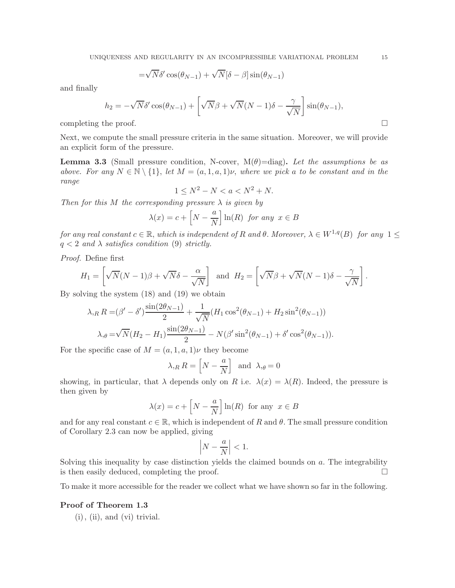$$
=\sqrt{N}\delta'\cos(\theta_{N-1})+\sqrt{N}[\delta-\beta]\sin(\theta_{N-1})
$$

and finally

$$
h_2 = -\sqrt{N}\delta' \cos(\theta_{N-1}) + \left[\sqrt{N}\beta + \sqrt{N}(N-1)\delta - \frac{\gamma}{\sqrt{N}}\right] \sin(\theta_{N-1}),
$$

completing the proof.  $\Box$ 

Next, we compute the small pressure criteria in the same situation. Moreover, we will provide an explicit form of the pressure.

**Lemma 3.3** (Small pressure condition, N-cover,  $M(\theta) = diag$ ). Let the assumptions be as *above. For any*  $N \in \mathbb{N} \setminus \{1\}$ , *let*  $M = (a, 1, a, 1)\nu$ , where we pick a to be constant and in the *range*

$$
1 \le N^2 - N < a < N^2 + N.
$$

*Then for this* M *the corresponding pressure* λ *is given by*

$$
\lambda(x) = c + \left[ N - \frac{a}{N} \right] \ln(R) \text{ for any } x \in B
$$

*for any real constant*  $c \in \mathbb{R}$ , *which is independent of* R *and*  $\theta$ . *Moreover*,  $\lambda \in W^{1,q}(B)$  *for any*  $1 \leq$  $q < 2$  *and*  $\lambda$  *satisfies condition* (9) *strictly.* 

*Proof.* Define first

$$
H_1 = \left[ \sqrt{N}(N-1)\beta + \sqrt{N}\delta - \frac{\alpha}{\sqrt{N}} \right] \text{ and } H_2 = \left[ \sqrt{N}\beta + \sqrt{N}(N-1)\delta - \frac{\gamma}{\sqrt{N}} \right].
$$

By solving the system (18) and (19) we obtain

$$
\lambda_{,R} R = (\beta' - \delta') \frac{\sin(2\theta_{N-1})}{2} + \frac{1}{\sqrt{N}} (H_1 \cos^2(\theta_{N-1}) + H_2 \sin^2(\theta_{N-1}))
$$

$$
\lambda_{,\theta} = \sqrt{N} (H_2 - H_1) \frac{\sin(2\theta_{N-1})}{2} - N(\beta' \sin^2(\theta_{N-1}) + \delta' \cos^2(\theta_{N-1})).
$$

For the specific case of  $M = (a, 1, a, 1)\nu$  they become

$$
\lambda_{,R} R = \left[ N - \frac{a}{N} \right] \text{ and } \lambda_{,\theta} = 0
$$

showing, in particular, that  $\lambda$  depends only on R i.e.  $\lambda(x) = \lambda(R)$ . Indeed, the pressure is then given by

$$
\lambda(x) = c + \left[ N - \frac{a}{N} \right] \ln(R)
$$
 for any  $x \in B$ 

and for any real constant  $c \in \mathbb{R}$ , which is independent of R and  $\theta$ . The small pressure condition of Corollary 2.3 can now be applied, giving

$$
\left|N - \frac{a}{N}\right| < 1.
$$

Solving this inequality by case distinction yields the claimed bounds on a. The integrability is then easily deduced, completing the proof.  $\Box$ 

To make it more accessible for the reader we collect what we have shown so far in the following.

### Proof of Theorem 1.3

 $(i)$ ,  $(ii)$ , and  $(vi)$  trivial.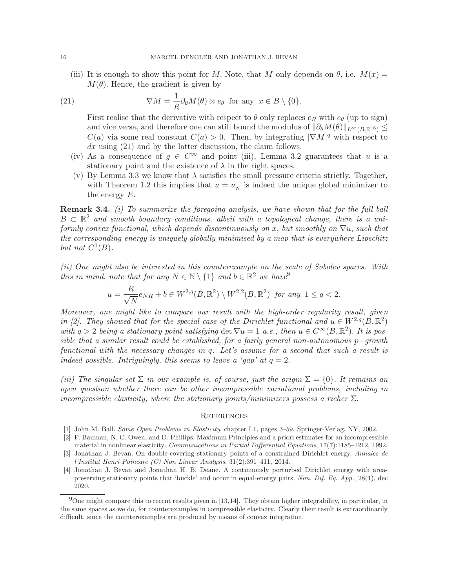(iii) It is enough to show this point for M. Note, that M only depends on  $\theta$ , i.e.  $M(x)$  =  $M(\theta)$ . Hence, the gradient is given by

(21) 
$$
\nabla M = \frac{1}{R} \partial_{\theta} M(\theta) \otimes e_{\theta} \text{ for any } x \in B \setminus \{0\}.
$$

First realise that the derivative with respect to  $\theta$  only replaces  $e_R$  with  $e_{\theta}$  (up to sign) and vice versa, and therefore one can still bound the modulus of  $\|\partial_{\theta}M(\theta)\|_{L^{\infty}(B,\mathbb{R}^{16})}\leq$  $C(a)$  via some real constant  $C(a) > 0$ . Then, by integrating  $|\nabla M|^q$  with respect to  $dx$  using  $(21)$  and by the latter discussion, the claim follows.

- (iv) As a consequence of  $g \in C^{\infty}$  and point (iii), Lemma 3.2 guarantees that u is a stationary point and the existence of  $\lambda$  in the right spaces.
- (v) By Lemma 3.3 we know that  $\lambda$  satisfies the small pressure criteria strictly. Together, with Theorem 1.2 this implies that  $u = u_N$  is indeed the unique global minimizer to the energy E.

Remark 3.4. *(i) To summarize the foregoing analysis, we have shown that for the full ball*  $B \subset \mathbb{R}^2$  and smooth boundary conditions, albeit with a topological change, there is a uni*formly convex functional, which depends discontinuously on* x, *but smoothly on*  $∇u$ , *such that the corresponding energy is uniquely globally minimised by a map that is everywhere Lipschitz* but not  $C^1(B)$ .

*(ii) One might also be interested in this counterexample on the scale of Sobolev spaces. With this in mind, note that for any*  $N \in \mathbb{N} \setminus \{1\}$  *and*  $b \in \mathbb{R}^2$  *we have*<sup>9</sup>

$$
u = \frac{R}{\sqrt{N}}e_{NR} + b \in W^{2,q}(B, \mathbb{R}^2) \setminus W^{2,2}(B, \mathbb{R}^2) \text{ for any } 1 \le q < 2.
$$

*Moreover, one might like to compare our result with the high-order regularity result, given in [2]. They showed that for the special case of the Dirichlet functional and*  $u \in W^{2,q}(B,\mathbb{R}^2)$ with  $q > 2$  being a stationary point satisfying det  $\nabla u = 1$  *a.e., then*  $u \in C^{\infty}(B, \mathbb{R}^2)$ . It is pos*sible that a similar result could be established, for a fairly general non-autonomous* p−*growth functional with the necessary changes in* q*. Let's assume for a second that such a result is indeed possible. Intriguingly, this seems to leave a 'gap' at*  $q = 2$ .

*(iii)* The singular set  $\Sigma$  *in our example is, of course, just the origin*  $\Sigma = \{0\}$ . It remains an *open question whether there can be other incompressible variational problems, including in incompressible elasticity, where the stationary points/minimizers possess a richer* Σ.

### **REFERENCES**

- [1] John M. Ball. Some Open Problems in Elasticity, chapter I.1, pages 3–59. Springer-Verlag, NY, 2002.
- [2] P. Bauman, N. C. Owen, and D. Phillips. Maximum Principles and a priori estimates for an incompressible material in nonlinear elasticity. Communications in Partial Differential Equations, 17(7):1185-1212, 1992.
- [3] Jonathan J. Bevan. On double-covering stationary points of a constrained Dirichlet energy. Annales de l'Institut Henri Poincare (C) Non Linear Analysis, 31(2):391–411, 2014.
- [4] Jonathan J. Bevan and Jonathan H. B. Deane. A continuously perturbed Dirichlet energy with areapreserving stationary points that 'buckle' and occur in equal-energy pairs. Non. Dif. Eq. App., 28(1), dec 2020.

 $9$ One might compare this to recent results given in [13,14]. They obtain higher integrability, in particular, in the same spaces as we do, for counterexamples in compressible elasticity. Clearly their result is extraordinarily difficult, since the counterexamples are produced by means of convex integration.